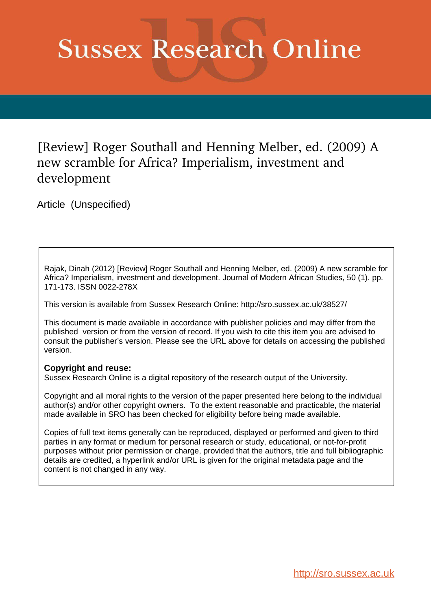# **Sussex Research Online**

# [Review] Roger Southall and Henning Melber, ed. (2009) A new scramble for Africa? Imperialism, investment and development

Article (Unspecified)

Rajak, Dinah (2012) [Review] Roger Southall and Henning Melber, ed. (2009) A new scramble for Africa? Imperialism, investment and development. Journal of Modern African Studies, 50 (1). pp. 171-173. ISSN 0022-278X

This version is available from Sussex Research Online: http://sro.sussex.ac.uk/38527/

This document is made available in accordance with publisher policies and may differ from the published version or from the version of record. If you wish to cite this item you are advised to consult the publisher's version. Please see the URL above for details on accessing the published version.

## **Copyright and reuse:**

Sussex Research Online is a digital repository of the research output of the University.

Copyright and all moral rights to the version of the paper presented here belong to the individual author(s) and/or other copyright owners. To the extent reasonable and practicable, the material made available in SRO has been checked for eligibility before being made available.

Copies of full text items generally can be reproduced, displayed or performed and given to third parties in any format or medium for personal research or study, educational, or not-for-profit purposes without prior permission or charge, provided that the authors, title and full bibliographic details are credited, a hyperlink and/or URL is given for the original metadata page and the content is not changed in any way.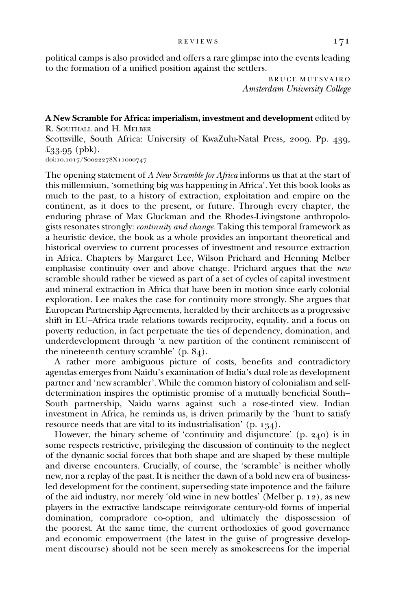political camps is also provided and offers a rare glimpse into the events leading to the formation of a unified position against the settlers.

> BRUCE MUTSVAIRO Amsterdam University College

### A New Scramble for Africa: imperialism, investment and development edited by R. SOUTHALL and H. MELBER

Scottsville, South Africa: University of KwaZulu-Natal Press, 2009. Pp. 439,  $£33.95$  (pbk).

doi:10.1017/Soo22278X11000747

The opening statement of A New Scramble for Africa informs us that at the start of this millennium, 'something big was happening in Africa'. Yet this book looks as much to the past, to a history of extraction, exploitation and empire on the continent, as it does to the present, or future. Through every chapter, the enduring phrase of Max Gluckman and the Rhodes-Livingstone anthropologists resonates strongly: continuity and change. Taking this temporal framework as a heuristic device, the book as a whole provides an important theoretical and historical overview to current processes of investment and resource extraction in Africa. Chapters by Margaret Lee, Wilson Prichard and Henning Melber emphasise continuity over and above change. Prichard argues that the new scramble should rather be viewed as part of a set of cycles of capital investment and mineral extraction in Africa that have been in motion since early colonial exploration. Lee makes the case for continuity more strongly. She argues that European Partnership Agreements, heralded by their architects as a progressive shift in EU–Africa trade relations towards reciprocity, equality, and a focus on poverty reduction, in fact perpetuate the ties of dependency, domination, and underdevelopment through 'a new partition of the continent reminiscent of the nineteenth century scramble'  $(p, 84)$ .

A rather more ambiguous picture of costs, benefits and contradictory agendas emerges from Naidu's examination of India's dual role as development partner and 'new scrambler'. While the common history of colonialism and selfdetermination inspires the optimistic promise of a mutually beneficial South– South partnership, Naidu warns against such a rose-tinted view. Indian investment in Africa, he reminds us, is driven primarily by the 'hunt to satisfy resource needs that are vital to its industrialisation'  $(p. 134)$ .

However, the binary scheme of 'continuity and disjuncture' (p. 240) is in some respects restrictive, privileging the discussion of continuity to the neglect of the dynamic social forces that both shape and are shaped by these multiple and diverse encounters. Crucially, of course, the 'scramble' is neither wholly new, nor a replay of the past. It is neither the dawn of a bold new era of businessled development for the continent, superseding state impotence and the failure of the aid industry, nor merely 'old wine in new bottles' (Melber p. 12), as new players in the extractive landscape reinvigorate century-old forms of imperial domination, compradore co-option, and ultimately the dispossession of the poorest. At the same time, the current orthodoxies of good governance and economic empowerment (the latest in the guise of progressive development discourse) should not be seen merely as smokescreens for the imperial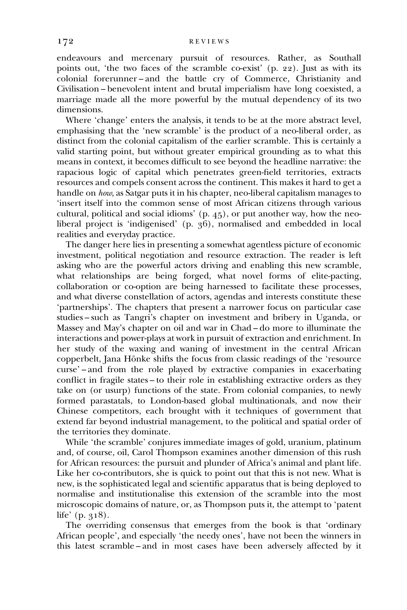endeavours and mercenary pursuit of resources. Rather, as Southall points out, 'the two faces of the scramble co-exist' (p. 22). Just as with its colonial forerunner – and the battle cry of Commerce, Christianity and Civilisation – benevolent intent and brutal imperialism have long coexisted, a marriage made all the more powerful by the mutual dependency of its two dimensions.

Where 'change' enters the analysis, it tends to be at the more abstract level, emphasising that the 'new scramble' is the product of a neo-liberal order, as distinct from the colonial capitalism of the earlier scramble. This is certainly a valid starting point, but without greater empirical grounding as to what this means in context, it becomes difficult to see beyond the headline narrative: the rapacious logic of capital which penetrates green-field territories, extracts resources and compels consent across the continent. This makes it hard to get a handle on how, as Satgar puts it in his chapter, neo-liberal capitalism manages to 'insert itself into the common sense of most African citizens through various cultural, political and social idioms' (p. 45), or put another way, how the neoliberal project is 'indigenised' (p. 36), normalised and embedded in local realities and everyday practice.

The danger here lies in presenting a somewhat agentless picture of economic investment, political negotiation and resource extraction. The reader is left asking who are the powerful actors driving and enabling this new scramble, what relationships are being forged, what novel forms of elite-pacting, collaboration or co-option are being harnessed to facilitate these processes, and what diverse constellation of actors, agendas and interests constitute these 'partnerships'. The chapters that present a narrower focus on particular case studies – such as Tangri's chapter on investment and bribery in Uganda, or Massey and May's chapter on oil and war in Chad – do more to illuminate the interactions and power-plays at work in pursuit of extraction and enrichment. In her study of the waxing and waning of investment in the central African copperbelt, Jana Hönke shifts the focus from classic readings of the 'resource curse' – and from the role played by extractive companies in exacerbating conflict in fragile states – to their role in establishing extractive orders as they take on (or usurp) functions of the state. From colonial companies, to newly formed parastatals, to London-based global multinationals, and now their Chinese competitors, each brought with it techniques of government that extend far beyond industrial management, to the political and spatial order of the territories they dominate.

While 'the scramble' conjures immediate images of gold, uranium, platinum and, of course, oil, Carol Thompson examines another dimension of this rush for African resources: the pursuit and plunder of Africa's animal and plant life. Like her co-contributors, she is quick to point out that this is not new. What is new, is the sophisticated legal and scientific apparatus that is being deployed to normalise and institutionalise this extension of the scramble into the most microscopic domains of nature, or, as Thompson puts it, the attempt to 'patent life'  $(p. 318)$ .

The overriding consensus that emerges from the book is that 'ordinary African people', and especially 'the needy ones', have not been the winners in this latest scramble – and in most cases have been adversely affected by it